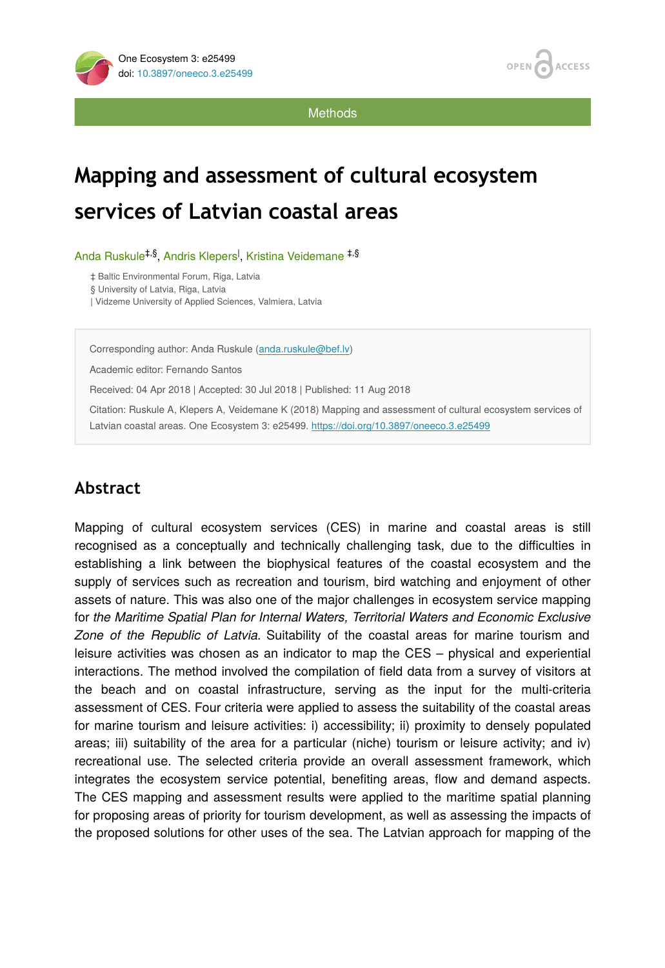

**Methods** 

# **Mapping and assessment of cultural ecosystem services of Latvian coastal areas**

Anda Ruskule<sup>‡,§</sup>, Andris Klepers<sup>I</sup>, Kristina Veidemane <sup>‡,§</sup>

‡ Baltic Environmental Forum, Riga, Latvia

§ University of Latvia, Riga, Latvia

| Vidzeme University of Applied Sciences, Valmiera, Latvia

Corresponding author: Anda Ruskule ([anda.ruskule@bef.lv\)](mailto:anda.ruskule@bef.lv)

Academic editor: Fernando Santos

Received: 04 Apr 2018 | Accepted: 30 Jul 2018 | Published: 11 Aug 2018

Citation: Ruskule A, Klepers A, Veidemane K (2018) Mapping and assessment of cultural ecosystem services of Latvian coastal areas. One Ecosystem 3: e25499. <https://doi.org/10.3897/oneeco.3.e25499>

## **Abstract**

Mapping of cultural ecosystem services (CES) in marine and coastal areas is still recognised as a conceptually and technically challenging task, due to the difficulties in establishing a link between the biophysical features of the coastal ecosystem and the supply of services such as recreation and tourism, bird watching and enjoyment of other assets of nature. This was also one of the major challenges in ecosystem service mapping for *the Maritime Spatial Plan for Internal Waters, Territorial Waters and Economic Exclusive Zone of the Republic of Latvia.* Suitability of the coastal areas for marine tourism and leisure activities was chosen as an indicator to map the CES – physical and experiential interactions. The method involved the compilation of field data from a survey of visitors at the beach and on coastal infrastructure, serving as the input for the multi-criteria assessment of CES. Four criteria were applied to assess the suitability of the coastal areas for marine tourism and leisure activities: i) accessibility; ii) proximity to densely populated areas; iii) suitability of the area for a particular (niche) tourism or leisure activity; and iv) recreational use. The selected criteria provide an overall assessment framework, which integrates the ecosystem service potential, benefiting areas, flow and demand aspects. The CES mapping and assessment results were applied to the maritime spatial planning for proposing areas of priority for tourism development, as well as assessing the impacts of the proposed solutions for other uses of the sea. The Latvian approach for mapping of the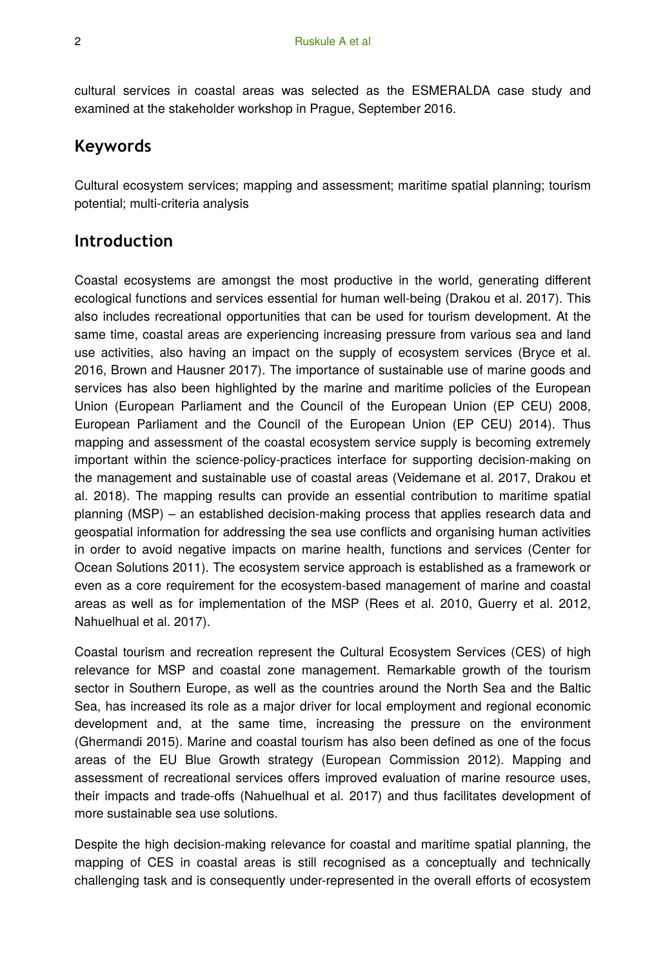cultural services in coastal areas was selected as the ESMERALDA case study and examined at the stakeholder workshop in Prague, September 2016.

## **Keywords**

Cultural ecosystem services; mapping and assessment; maritime spatial planning; tourism potential; multi-criteria analysis

## **Introduction**

Coastal ecosystems are amongst the most productive in the world, generating different ecological functions and services essential for human well-being (Drakou et al. 2017). This also includes recreational opportunities that can be used for tourism development. At the same time, coastal areas are experiencing increasing pressure from various sea and land use activities, also having an impact on the supply of ecosystem services (Bryce et al. 2016, Brown and Hausner 2017). The importance of sustainable use of marine goods and services has also been highlighted by the marine and maritime policies of the European Union (European Parliament and the Council of the European Union (EP CEU) 2008, European Parliament and the Council of the European Union (EP CEU) 2014). Thus mapping and assessment of the coastal ecosystem service supply is becoming extremely important within the science-policy-practices interface for supporting decision-making on the management and sustainable use of coastal areas (Veidemane et al. 2017, Drakou et al. 2018). The mapping results can provide an essential contribution to maritime spatial planning (MSP) – an established decision-making process that applies research data and geospatial information for addressing the sea use conflicts and organising human activities in order to avoid negative impacts on marine health, functions and services (Center for Ocean Solutions 2011). The ecosystem service approach is established as a framework or even as a core requirement for the ecosystem-based management of marine and coastal areas as well as for implementation of the MSP (Rees et al. 2010, Guerry et al. 2012, Nahuelhual et al. 2017).

Coastal tourism and recreation represent the Cultural Ecosystem Services (CES) of high relevance for MSP and coastal zone management. Remarkable growth of the tourism sector in Southern Europe, as well as the countries around the North Sea and the Baltic Sea, has increased its role as a major driver for local employment and regional economic development and, at the same time, increasing the pressure on the environment (Ghermandi 2015). Marine and coastal tourism has also been defined as one of the focus areas of the EU Blue Growth strategy (European Commission 2012). Mapping and assessment of recreational services offers improved evaluation of marine resource uses, their impacts and trade-offs (Nahuelhual et al. 2017) and thus facilitates development of more sustainable sea use solutions.

Despite the high decision-making relevance for coastal and maritime spatial planning, the mapping of CES in coastal areas is still recognised as a conceptually and technically challenging task and is consequently under-represented in the overall efforts of ecosystem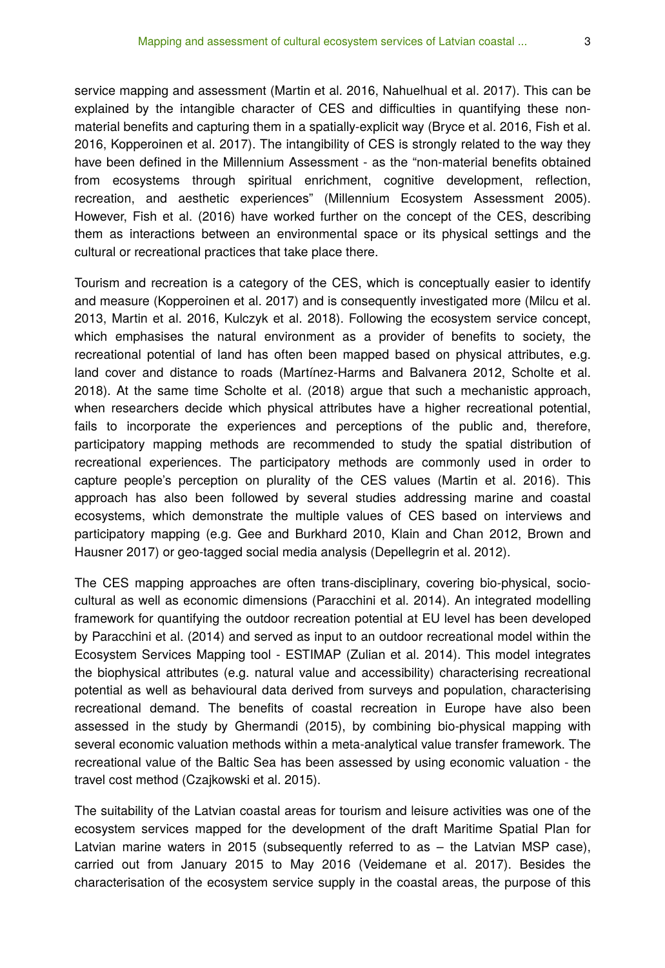service mapping and assessment (Martin et al. 2016, Nahuelhual et al. 2017). This can be explained by the intangible character of CES and difficulties in quantifying these nonmaterial benefits and capturing them in a spatially-explicit way (Bryce et al. 2016, Fish et al. 2016, Kopperoinen et al. 2017). The intangibility of CES is strongly related to the way they have been defined in the Millennium Assessment - as the "non-material benefits obtained from ecosystems through spiritual enrichment, cognitive development, reflection, recreation, and aesthetic experiences" (Millennium Ecosystem Assessment 2005). However, Fish et al. (2016) have worked further on the concept of the CES, describing them as interactions between an environmental space or its physical settings and the cultural or recreational practices that take place there.

Tourism and recreation is a category of the CES, which is conceptually easier to identify and measure (Kopperoinen et al. 2017) and is consequently investigated more (Milcu et al. 2013, Martin et al. 2016, Kulczyk et al. 2018). Following the ecosystem service concept, which emphasises the natural environment as a provider of benefits to society, the recreational potential of land has often been mapped based on physical attributes, e.g. land cover and distance to roads (Martínez-Harms and Balvanera 2012, Scholte et al. 2018). At the same time Scholte et al. (2018) argue that such a mechanistic approach, when researchers decide which physical attributes have a higher recreational potential, fails to incorporate the experiences and perceptions of the public and, therefore, participatory mapping methods are recommended to study the spatial distribution of recreational experiences. The participatory methods are commonly used in order to capture people's perception on plurality of the CES values (Martin et al. 2016). This approach has also been followed by several studies addressing marine and coastal ecosystems, which demonstrate the multiple values of CES based on interviews and participatory mapping (e.g. Gee and Burkhard 2010, Klain and Chan 2012, Brown and Hausner 2017) or geo-tagged social media analysis (Depellegrin et al. 2012).

The CES mapping approaches are often trans-disciplinary, covering bio-physical, sociocultural as well as economic dimensions (Paracchini et al. 2014). An integrated modelling framework for quantifying the outdoor recreation potential at EU level has been developed by Paracchini et al. (2014) and served as input to an outdoor recreational model within the Ecosystem Services Mapping tool - ESTIMAP (Zulian et al. 2014). This model integrates the biophysical attributes (e.g. natural value and accessibility) characterising recreational potential as well as behavioural data derived from surveys and population, characterising recreational demand. The benefits of coastal recreation in Europe have also been assessed in the study by Ghermandi (2015), by combining bio-physical mapping with several economic valuation methods within a meta-analytical value transfer framework. The recreational value of the Baltic Sea has been assessed by using economic valuation - the travel cost method (Czajkowski et al. 2015).

The suitability of the Latvian coastal areas for tourism and leisure activities was one of the ecosystem services mapped for the development of the draft Maritime Spatial Plan for Latvian marine waters in 2015 (subsequently referred to as – the Latvian MSP case), carried out from January 2015 to May 2016 (Veidemane et al. 2017). Besides the characterisation of the ecosystem service supply in the coastal areas, the purpose of this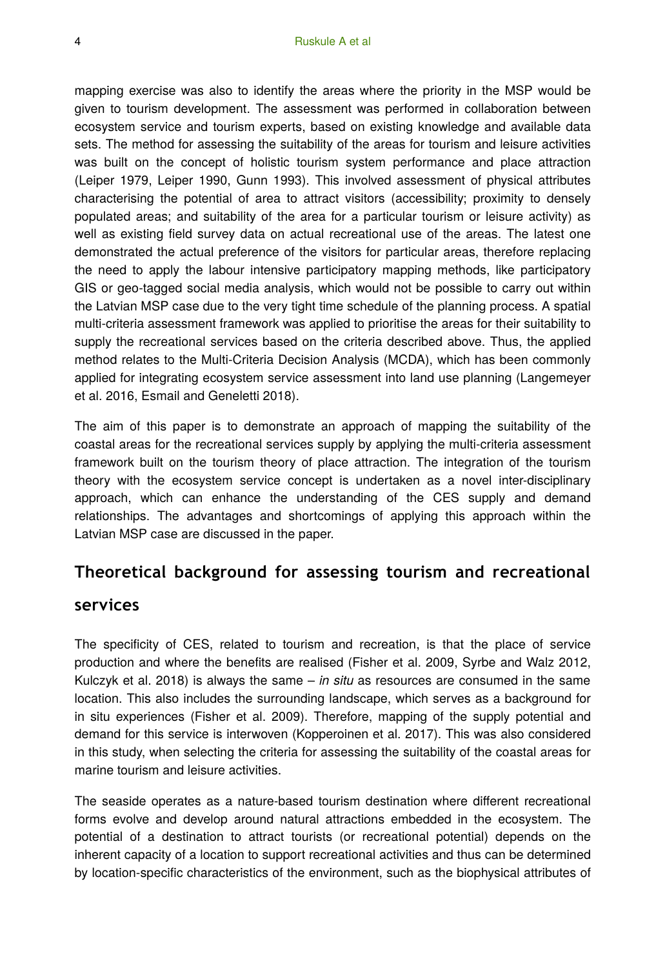mapping exercise was also to identify the areas where the priority in the MSP would be given to tourism development. The assessment was performed in collaboration between ecosystem service and tourism experts, based on existing knowledge and available data sets. The method for assessing the suitability of the areas for tourism and leisure activities was built on the concept of holistic tourism system performance and place attraction (Leiper 1979, Leiper 1990, Gunn 1993). This involved assessment of physical attributes characterising the potential of area to attract visitors (accessibility; proximity to densely populated areas; and suitability of the area for a particular tourism or leisure activity) as well as existing field survey data on actual recreational use of the areas. The latest one demonstrated the actual preference of the visitors for particular areas, therefore replacing the need to apply the labour intensive participatory mapping methods, like participatory GIS or geo-tagged social media analysis, which would not be possible to carry out within the Latvian MSP case due to the very tight time schedule of the planning process. A spatial multi-criteria assessment framework was applied to prioritise the areas for their suitability to supply the recreational services based on the criteria described above. Thus, the applied method relates to the Multi-Criteria Decision Analysis (MCDA), which has been commonly applied for integrating ecosystem service assessment into land use planning (Langemeyer et al. 2016, Esmail and Geneletti 2018).

The aim of this paper is to demonstrate an approach of mapping the suitability of the coastal areas for the recreational services supply by applying the multi-criteria assessment framework built on the tourism theory of place attraction. The integration of the tourism theory with the ecosystem service concept is undertaken as a novel inter-disciplinary approach, which can enhance the understanding of the CES supply and demand relationships. The advantages and shortcomings of applying this approach within the Latvian MSP case are discussed in the paper.

## **Theoretical background for assessing tourism and recreational**

### **services**

The specificity of CES, related to tourism and recreation, is that the place of service production and where the benefits are realised (Fisher et al. 2009, Syrbe and Walz 2012, Kulczyk et al. 2018) is always the same – *in situ* as resources are consumed in the same location. This also includes the surrounding landscape, which serves as a background for in situ experiences (Fisher et al. 2009). Therefore, mapping of the supply potential and demand for this service is interwoven (Kopperoinen et al. 2017). This was also considered in this study, when selecting the criteria for assessing the suitability of the coastal areas for marine tourism and leisure activities.

The seaside operates as a nature-based tourism destination where different recreational forms evolve and develop around natural attractions embedded in the ecosystem. The potential of a destination to attract tourists (or recreational potential) depends on the inherent capacity of a location to support recreational activities and thus can be determined by location-specific characteristics of the environment, such as the biophysical attributes of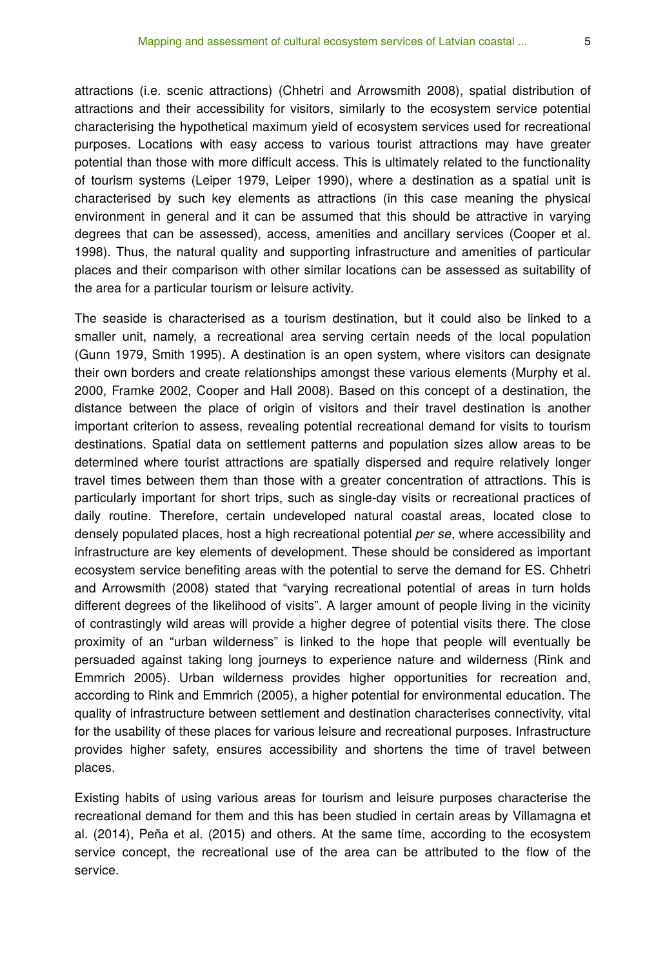attractions (i.e. scenic attractions) (Chhetri and Arrowsmith 2008), spatial distribution of attractions and their accessibility for visitors, similarly to the ecosystem service potential characterising the hypothetical maximum yield of ecosystem services used for recreational purposes. Locations with easy access to various tourist attractions may have greater potential than those with more difficult access. This is ultimately related to the functionality of tourism systems (Leiper 1979, Leiper 1990), where a destination as a spatial unit is characterised by such key elements as attractions (in this case meaning the physical environment in general and it can be assumed that this should be attractive in varying degrees that can be assessed), access, amenities and ancillary services (Cooper et al. 1998). Thus, the natural quality and supporting infrastructure and amenities of particular places and their comparison with other similar locations can be assessed as suitability of the area for a particular tourism or leisure activity.

The seaside is characterised as a tourism destination, but it could also be linked to a smaller unit, namely, a recreational area serving certain needs of the local population (Gunn 1979, Smith 1995). A destination is an open system, where visitors can designate their own borders and create relationships amongst these various elements (Murphy et al. 2000, Framke 2002, Cooper and Hall 2008). Based on this concept of a destination, the distance between the place of origin of visitors and their travel destination is another important criterion to assess, revealing potential recreational demand for visits to tourism destinations. Spatial data on settlement patterns and population sizes allow areas to be determined where tourist attractions are spatially dispersed and require relatively longer travel times between them than those with a greater concentration of attractions. This is particularly important for short trips, such as single-day visits or recreational practices of daily routine. Therefore, certain undeveloped natural coastal areas, located close to densely populated places, host a high recreational potential *per se*, where accessibility and infrastructure are key elements of development. These should be considered as important ecosystem service benefiting areas with the potential to serve the demand for ES. Chhetri and Arrowsmith (2008) stated that "varying recreational potential of areas in turn holds different degrees of the likelihood of visits". A larger amount of people living in the vicinity of contrastingly wild areas will provide a higher degree of potential visits there. The close proximity of an "urban wilderness" is linked to the hope that people will eventually be persuaded against taking long journeys to experience nature and wilderness (Rink and Emmrich 2005). Urban wilderness provides higher opportunities for recreation and, according to Rink and Emmrich (2005), a higher potential for environmental education. The quality of infrastructure between settlement and destination characterises connectivity, vital for the usability of these places for various leisure and recreational purposes. Infrastructure provides higher safety, ensures accessibility and shortens the time of travel between places.

Existing habits of using various areas for tourism and leisure purposes characterise the recreational demand for them and this has been studied in certain areas by Villamagna et al. (2014), Peña et al. (2015) and others. At the same time, according to the ecosystem service concept, the recreational use of the area can be attributed to the flow of the service.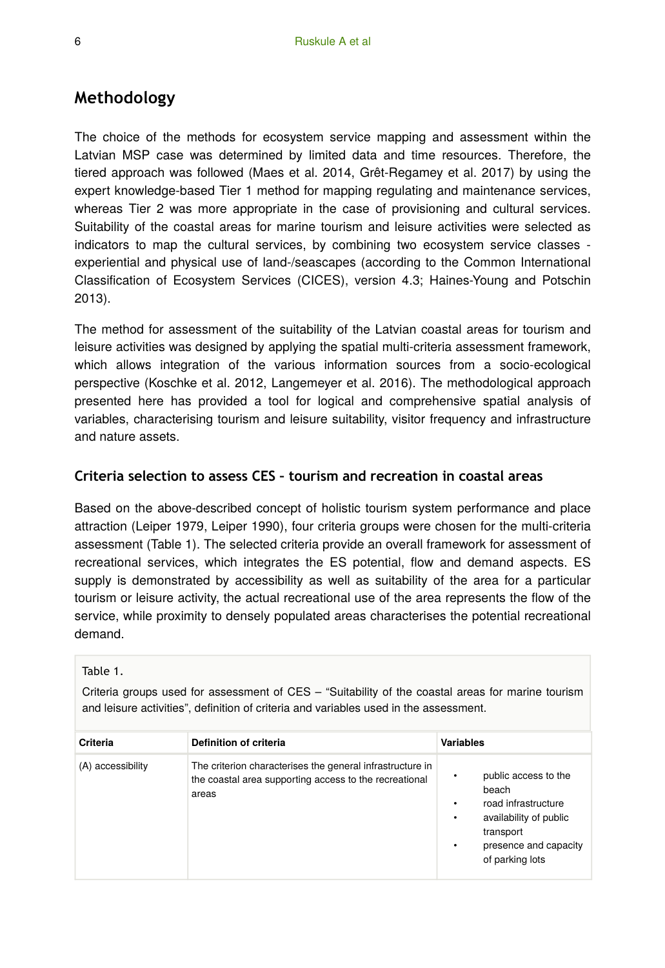## **Methodology**

The choice of the methods for ecosystem service mapping and assessment within the Latvian MSP case was determined by limited data and time resources. Therefore, the tiered approach was followed (Maes et al. 2014, Grêt-Regamey et al. 2017) by using the expert knowledge-based Tier 1 method for mapping regulating and maintenance services, whereas Tier 2 was more appropriate in the case of provisioning and cultural services. Suitability of the coastal areas for marine tourism and leisure activities were selected as indicators to map the cultural services, by combining two ecosystem service classes experiential and physical use of land-/seascapes (according to the Common International Classification of Ecosystem Services (CICES), version 4.3; Haines-Young and Potschin 2013).

The method for assessment of the suitability of the Latvian coastal areas for tourism and leisure activities was designed by applying the spatial multi-criteria assessment framework, which allows integration of the various information sources from a socio-ecological perspective (Koschke et al. 2012, Langemeyer et al. 2016). The methodological approach presented here has provided a tool for logical and comprehensive spatial analysis of variables, characterising tourism and leisure suitability, visitor frequency and infrastructure and nature assets.

#### **Criteria selection to assess CES – tourism and recreation in coastal areas**

Based on the above-described concept of holistic tourism system performance and place attraction (Leiper 1979, Leiper 1990), four criteria groups were chosen for the multi-criteria assessment (Table 1). The selected criteria provide an overall framework for assessment of recreational services, which integrates the ES potential, flow and demand aspects. ES supply is demonstrated by accessibility as well as suitability of the area for a particular tourism or leisure activity, the actual recreational use of the area represents the flow of the service, while proximity to densely populated areas characterises the potential recreational demand.

#### Table 1.

Criteria groups used for assessment of CES – "Suitability of the coastal areas for marine tourism and leisure activities", definition of criteria and variables used in the assessment.

| Criteria          | Definition of criteria                                                                                                       | <b>Variables</b>                                                                                                                                       |
|-------------------|------------------------------------------------------------------------------------------------------------------------------|--------------------------------------------------------------------------------------------------------------------------------------------------------|
| (A) accessibility | The criterion characterises the general infrastructure in<br>the coastal area supporting access to the recreational<br>areas | public access to the<br>beach<br>road infrastructure<br>٠<br>availability of public<br>٠<br>transport<br>presence and capacity<br>٠<br>of parking lots |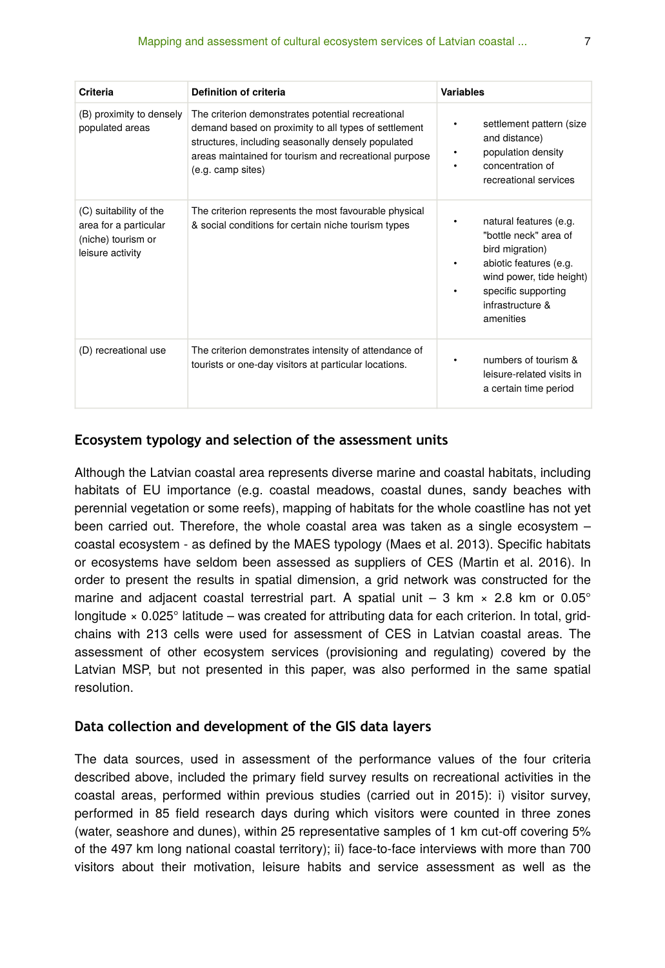| Criteria                                                                                  | Definition of criteria                                                                                                                                                                                                                        | <b>Variables</b>                                                                                                                                                                      |
|-------------------------------------------------------------------------------------------|-----------------------------------------------------------------------------------------------------------------------------------------------------------------------------------------------------------------------------------------------|---------------------------------------------------------------------------------------------------------------------------------------------------------------------------------------|
| (B) proximity to densely<br>populated areas                                               | The criterion demonstrates potential recreational<br>demand based on proximity to all types of settlement<br>structures, including seasonally densely populated<br>areas maintained for tourism and recreational purpose<br>(e.g. camp sites) | settlement pattern (size<br>٠<br>and distance)<br>population density<br>٠<br>concentration of<br>recreational services                                                                |
| (C) suitability of the<br>area for a particular<br>(niche) tourism or<br>leisure activity | The criterion represents the most favourable physical<br>& social conditions for certain niche tourism types                                                                                                                                  | natural features (e.g.<br>٠<br>"bottle neck" area of<br>bird migration)<br>abiotic features (e.g.<br>wind power, tide height)<br>specific supporting<br>infrastructure &<br>amenities |
| (D) recreational use                                                                      | The criterion demonstrates intensity of attendance of<br>tourists or one-day visitors at particular locations.                                                                                                                                | numbers of tourism &<br>leisure-related visits in<br>a certain time period                                                                                                            |

#### **Ecosystem typology and selection of the assessment units**

Although the Latvian coastal area represents diverse marine and coastal habitats, including habitats of EU importance (e.g. coastal meadows, coastal dunes, sandy beaches with perennial vegetation or some reefs), mapping of habitats for the whole coastline has not yet been carried out. Therefore, the whole coastal area was taken as a single ecosystem – coastal ecosystem - as defined by the MAES typology (Maes et al. 2013). Specific habitats or ecosystems have seldom been assessed as suppliers of CES (Martin et al. 2016). In order to present the results in spatial dimension, a grid network was constructed for the marine and adjacent coastal terrestrial part. A spatial unit  $-3$  km  $\times$  2.8 km or 0.05° longitude × 0.025° latitude – was created for attributing data for each criterion. In total, gridchains with 213 cells were used for assessment of CES in Latvian coastal areas. The assessment of other ecosystem services (provisioning and regulating) covered by the Latvian MSP, but not presented in this paper, was also performed in the same spatial resolution.

#### **Data collection and development of the GIS data layers**

The data sources, used in assessment of the performance values of the four criteria described above, included the primary field survey results on recreational activities in the coastal areas, performed within previous studies (carried out in 2015): i) visitor survey, performed in 85 field research days during which visitors were counted in three zones (water, seashore and dunes), within 25 representative samples of 1 km cut-off covering 5% of the 497 km long national coastal territory); ii) face-to-face interviews with more than 700 visitors about their motivation, leisure habits and service assessment as well as the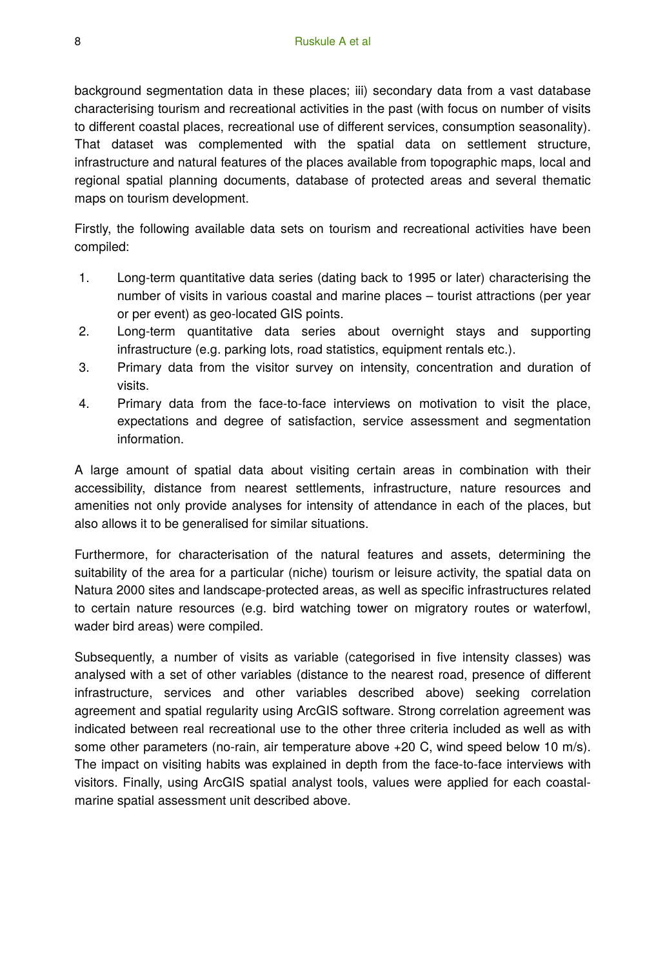background segmentation data in these places; iii) secondary data from a vast database characterising tourism and recreational activities in the past (with focus on number of visits to different coastal places, recreational use of different services, consumption seasonality). That dataset was complemented with the spatial data on settlement structure, infrastructure and natural features of the places available from topographic maps, local and regional spatial planning documents, database of protected areas and several thematic maps on tourism development.

Firstly, the following available data sets on tourism and recreational activities have been compiled:

- 1. Long-term quantitative data series (dating back to 1995 or later) characterising the number of visits in various coastal and marine places – tourist attractions (per year or per event) as geo-located GIS points.
- 2. Long-term quantitative data series about overnight stays and supporting infrastructure (e.g. parking lots, road statistics, equipment rentals etc.).
- 3. Primary data from the visitor survey on intensity, concentration and duration of visits.
- 4. Primary data from the face-to-face interviews on motivation to visit the place, expectations and degree of satisfaction, service assessment and segmentation information.

A large amount of spatial data about visiting certain areas in combination with their accessibility, distance from nearest settlements, infrastructure, nature resources and amenities not only provide analyses for intensity of attendance in each of the places, but also allows it to be generalised for similar situations.

Furthermore, for characterisation of the natural features and assets, determining the suitability of the area for a particular (niche) tourism or leisure activity, the spatial data on Natura 2000 sites and landscape-protected areas, as well as specific infrastructures related to certain nature resources (e.g. bird watching tower on migratory routes or waterfowl, wader bird areas) were compiled.

Subsequently, a number of visits as variable (categorised in five intensity classes) was analysed with a set of other variables (distance to the nearest road, presence of different infrastructure, services and other variables described above) seeking correlation agreement and spatial regularity using ArcGIS software. Strong correlation agreement was indicated between real recreational use to the other three criteria included as well as with some other parameters (no-rain, air temperature above +20 C, wind speed below 10 m/s). The impact on visiting habits was explained in depth from the face-to-face interviews with visitors. Finally, using ArcGIS spatial analyst tools, values were applied for each coastalmarine spatial assessment unit described above.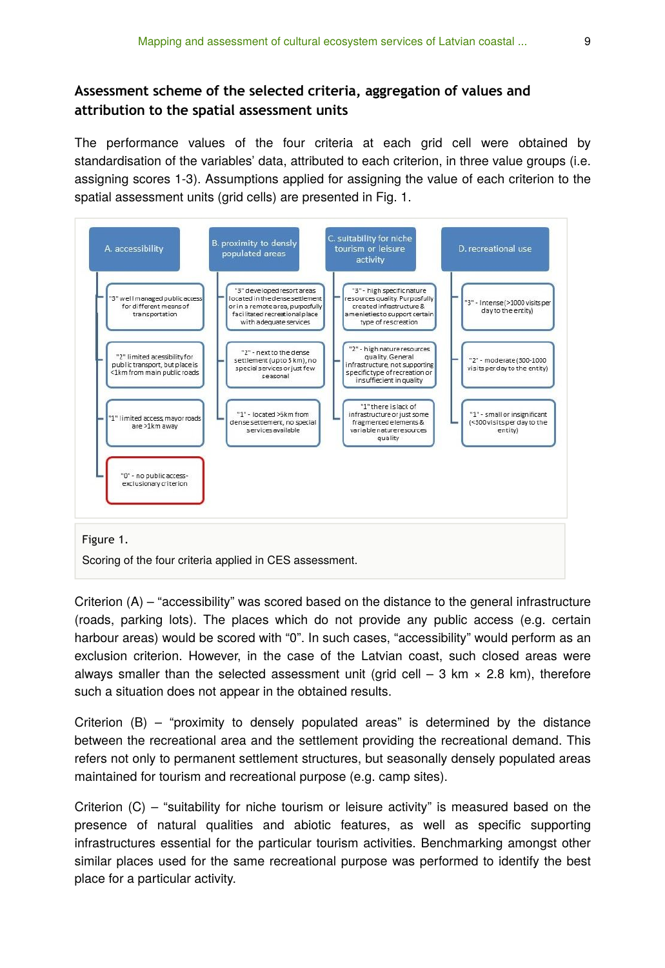## **Assessment scheme of the selected criteria, aggregation of values and attribution to the spatial assessment units**

The performance values of the four criteria at each grid cell were obtained by standardisation of the variables' data, attributed to each criterion, in three value groups (i.e. assigning scores 1-3). Assumptions applied for assigning the value of each criterion to the spatial assessment units (grid cells) are presented in Fig. 1.



Criterion (A) – "accessibility" was scored based on the distance to the general infrastructure (roads, parking lots). The places which do not provide any public access (e.g. certain harbour areas) would be scored with "0". In such cases, "accessibility" would perform as an exclusion criterion. However, in the case of the Latvian coast, such closed areas were always smaller than the selected assessment unit (grid cell  $-$  3 km  $\times$  2.8 km), therefore such a situation does not appear in the obtained results.

Criterion  $(B)$  – "proximity to densely populated areas" is determined by the distance between the recreational area and the settlement providing the recreational demand. This refers not only to permanent settlement structures, but seasonally densely populated areas maintained for tourism and recreational purpose (e.g. camp sites).

Criterion  $(C)$  – "suitability for niche tourism or leisure activity" is measured based on the presence of natural qualities and abiotic features, as well as specific supporting infrastructures essential for the particular tourism activities. Benchmarking amongst other similar places used for the same recreational purpose was performed to identify the best place for a particular activity.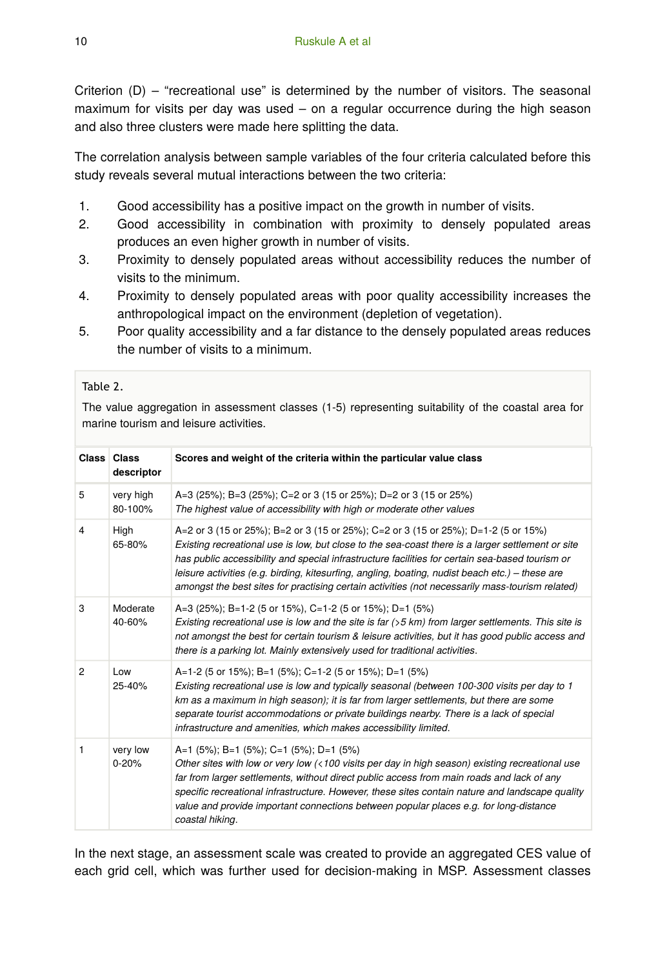Criterion (D) – "recreational use" is determined by the number of visitors. The seasonal maximum for visits per day was used – on a regular occurrence during the high season and also three clusters were made here splitting the data.

The correlation analysis between sample variables of the four criteria calculated before this study reveals several mutual interactions between the two criteria:

- 1. Good accessibility has a positive impact on the growth in number of visits.
- 2. Good accessibility in combination with proximity to densely populated areas produces an even higher growth in number of visits.
- 3. Proximity to densely populated areas without accessibility reduces the number of visits to the minimum.
- 4. Proximity to densely populated areas with poor quality accessibility increases the anthropological impact on the environment (depletion of vegetation).
- 5. Poor quality accessibility and a far distance to the densely populated areas reduces the number of visits to a minimum.

#### Table 2.

The value aggregation in assessment classes (1-5) representing suitability of the coastal area for marine tourism and leisure activities.

|                | Class Class<br>descriptor | Scores and weight of the criteria within the particular value class                                                                                                                                                                                                                                                                                                                                                                                                                              |
|----------------|---------------------------|--------------------------------------------------------------------------------------------------------------------------------------------------------------------------------------------------------------------------------------------------------------------------------------------------------------------------------------------------------------------------------------------------------------------------------------------------------------------------------------------------|
| 5              | very high<br>80-100%      | A=3 (25%); B=3 (25%); C=2 or 3 (15 or 25%); D=2 or 3 (15 or 25%)<br>The highest value of accessibility with high or moderate other values                                                                                                                                                                                                                                                                                                                                                        |
| 4              | High<br>65-80%            | A=2 or 3 (15 or 25%); B=2 or 3 (15 or 25%); C=2 or 3 (15 or 25%); D=1-2 (5 or 15%)<br>Existing recreational use is low, but close to the sea-coast there is a larger settlement or site<br>has public accessibility and special infrastructure facilities for certain sea-based tourism or<br>leisure activities (e.g. birding, kitesurfing, angling, boating, nudist beach etc.) – these are<br>amongst the best sites for practising certain activities (not necessarily mass-tourism related) |
| 3              | Moderate<br>40-60%        | A=3 (25%); B=1-2 (5 or 15%), C=1-2 (5 or 15%); D=1 (5%)<br>Existing recreational use is low and the site is far $(55 km)$ from larger settlements. This site is<br>not amongst the best for certain tourism & leisure activities, but it has good public access and<br>there is a parking lot. Mainly extensively used for traditional activities.                                                                                                                                               |
| $\overline{2}$ | Low<br>25-40%             | A=1-2 (5 or 15%); B=1 (5%); C=1-2 (5 or 15%); D=1 (5%)<br>Existing recreational use is low and typically seasonal (between 100-300 visits per day to 1<br>km as a maximum in high season); it is far from larger settlements, but there are some<br>separate tourist accommodations or private buildings nearby. There is a lack of special<br>infrastructure and amenities, which makes accessibility limited.                                                                                  |
| 1              | very low<br>$0 - 20%$     | A=1 (5%); B=1 (5%); C=1 (5%); D=1 (5%)<br>Other sites with low or very low $($ <100 visits per day in high season) existing recreational use<br>far from larger settlements, without direct public access from main roads and lack of any<br>specific recreational infrastructure. However, these sites contain nature and landscape quality<br>value and provide important connections between popular places e.g. for long-distance<br>coastal hiking.                                         |

In the next stage, an assessment scale was created to provide an aggregated CES value of each grid cell, which was further used for decision-making in MSP. Assessment classes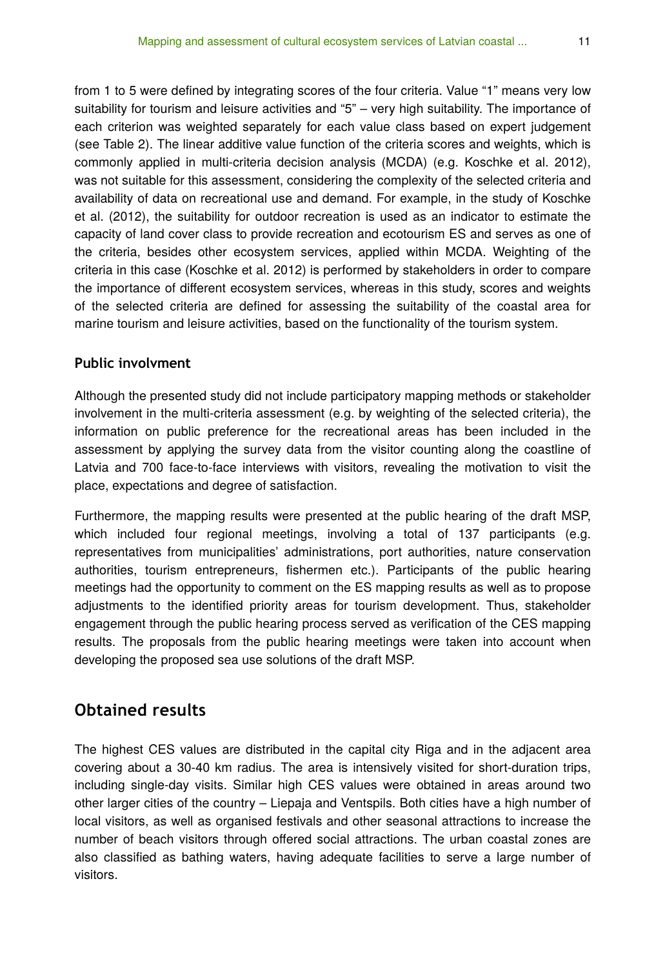from 1 to 5 were defined by integrating scores of the four criteria. Value "1" means very low suitability for tourism and leisure activities and "5" – very high suitability. The importance of each criterion was weighted separately for each value class based on expert judgement (see Table 2). The linear additive value function of the criteria scores and weights, which is commonly applied in multi-criteria decision analysis (MCDA) (e.g. Koschke et al. 2012), was not suitable for this assessment, considering the complexity of the selected criteria and availability of data on recreational use and demand. For example, in the study of Koschke et al. (2012), the suitability for outdoor recreation is used as an indicator to estimate the capacity of land cover class to provide recreation and ecotourism ES and serves as one of the criteria, besides other ecosystem services, applied within MCDA. Weighting of the criteria in this case (Koschke et al. 2012) is performed by stakeholders in order to compare the importance of different ecosystem services, whereas in this study, scores and weights of the selected criteria are defined for assessing the suitability of the coastal area for marine tourism and leisure activities, based on the functionality of the tourism system.

### **Public involvment**

Although the presented study did not include participatory mapping methods or stakeholder involvement in the multi-criteria assessment (e.g. by weighting of the selected criteria), the information on public preference for the recreational areas has been included in the assessment by applying the survey data from the visitor counting along the coastline of Latvia and 700 face-to-face interviews with visitors, revealing the motivation to visit the place, expectations and degree of satisfaction.

Furthermore, the mapping results were presented at the public hearing of the draft MSP, which included four regional meetings, involving a total of 137 participants (e.g. representatives from municipalities' administrations, port authorities, nature conservation authorities, tourism entrepreneurs, fishermen etc.). Participants of the public hearing meetings had the opportunity to comment on the ES mapping results as well as to propose adjustments to the identified priority areas for tourism development. Thus, stakeholder engagement through the public hearing process served as verification of the CES mapping results. The proposals from the public hearing meetings were taken into account when developing the proposed sea use solutions of the draft MSP.

## **Obtained results**

The highest CES values are distributed in the capital city Riga and in the adjacent area covering about a 30-40 km radius. The area is intensively visited for short-duration trips, including single-day visits. Similar high CES values were obtained in areas around two other larger cities of the country – Liepaja and Ventspils. Both cities have a high number of local visitors, as well as organised festivals and other seasonal attractions to increase the number of beach visitors through offered social attractions. The urban coastal zones are also classified as bathing waters, having adequate facilities to serve a large number of visitors.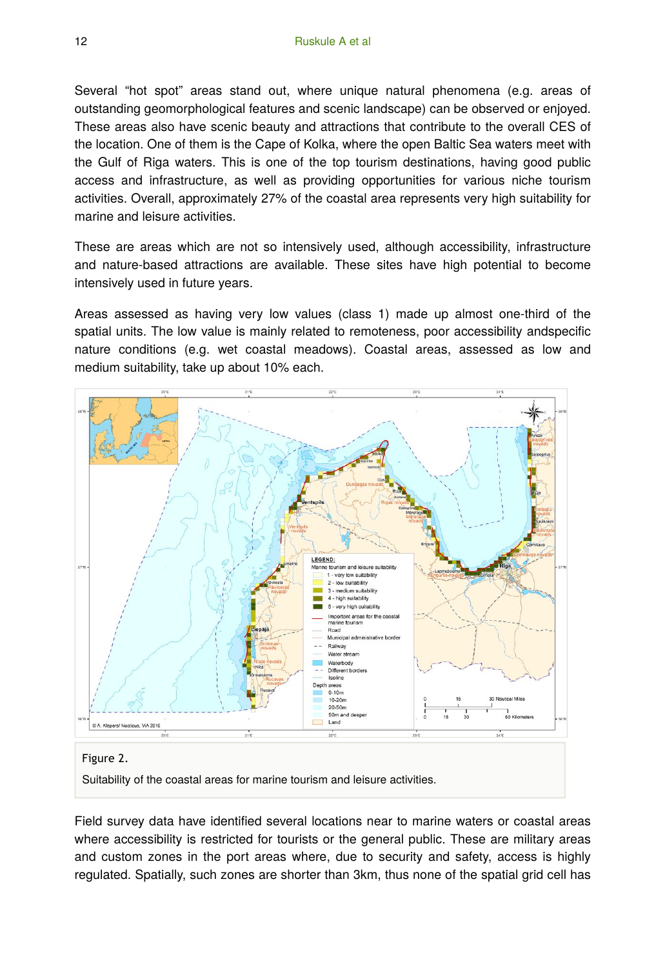Several "hot spot" areas stand out, where unique natural phenomena (e.g. areas of outstanding geomorphological features and scenic landscape) can be observed or enjoyed. These areas also have scenic beauty and attractions that contribute to the overall CES of the location. One of them is the Cape of Kolka, where the open Baltic Sea waters meet with the Gulf of Riga waters. This is one of the top tourism destinations, having good public access and infrastructure, as well as providing opportunities for various niche tourism activities. Overall, approximately 27% of the coastal area represents very high suitability for marine and leisure activities.

These are areas which are not so intensively used, although accessibility, infrastructure and nature-based attractions are available. These sites have high potential to become intensively used in future years.

Areas assessed as having very low values (class 1) made up almost one-third of the spatial units. The low value is mainly related to remoteness, poor accessibility andspecific nature conditions (e.g. wet coastal meadows). Coastal areas, assessed as low and medium suitability, take up about 10% each.



Suitability of the coastal areas for marine tourism and leisure activities.

Field survey data have identified several locations near to marine waters or coastal areas where accessibility is restricted for tourists or the general public. These are military areas and custom zones in the port areas where, due to security and safety, access is highly regulated. Spatially, such zones are shorter than 3km, thus none of the spatial grid cell has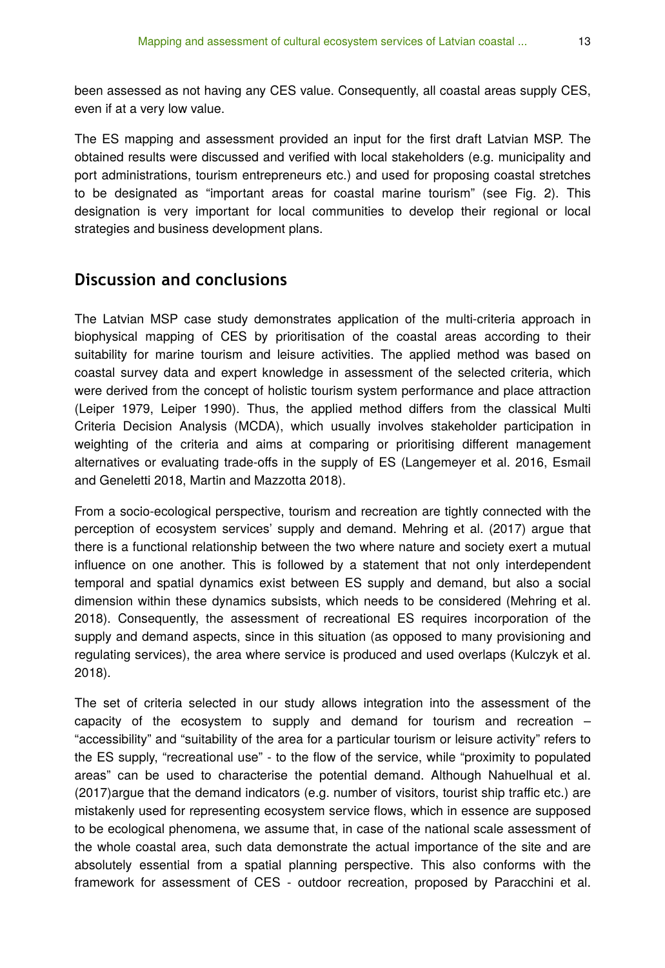been assessed as not having any CES value. Consequently, all coastal areas supply CES, even if at a very low value.

The ES mapping and assessment provided an input for the first draft Latvian MSP. The obtained results were discussed and verified with local stakeholders (e.g. municipality and port administrations, tourism entrepreneurs etc.) and used for proposing coastal stretches to be designated as "important areas for coastal marine tourism" (see Fig. 2). This designation is very important for local communities to develop their regional or local strategies and business development plans.

## **Discussion and conclusions**

The Latvian MSP case study demonstrates application of the multi-criteria approach in biophysical mapping of CES by prioritisation of the coastal areas according to their suitability for marine tourism and leisure activities. The applied method was based on coastal survey data and expert knowledge in assessment of the selected criteria, which were derived from the concept of holistic tourism system performance and place attraction (Leiper 1979, Leiper 1990). Thus, the applied method differs from the classical Multi Criteria Decision Analysis (MCDA), which usually involves stakeholder participation in weighting of the criteria and aims at comparing or prioritising different management alternatives or evaluating trade-offs in the supply of ES (Langemeyer et al. 2016, Esmail and Geneletti 2018, Martin and Mazzotta 2018).

From a socio-ecological perspective, tourism and recreation are tightly connected with the perception of ecosystem services' supply and demand. Mehring et al. (2017) argue that there is a functional relationship between the two where nature and society exert a mutual influence on one another. This is followed by a statement that not only interdependent temporal and spatial dynamics exist between ES supply and demand, but also a social dimension within these dynamics subsists, which needs to be considered (Mehring et al. 2018). Consequently, the assessment of recreational ES requires incorporation of the supply and demand aspects, since in this situation (as opposed to many provisioning and regulating services), the area where service is produced and used overlaps (Kulczyk et al. 2018).

The set of criteria selected in our study allows integration into the assessment of the capacity of the ecosystem to supply and demand for tourism and recreation – "accessibility" and "suitability of the area for a particular tourism or leisure activity" refers to the ES supply, "recreational use" - to the flow of the service, while "proximity to populated areas" can be used to characterise the potential demand. Although Nahuelhual et al. (2017)argue that the demand indicators (e.g. number of visitors, tourist ship traffic etc.) are mistakenly used for representing ecosystem service flows, which in essence are supposed to be ecological phenomena, we assume that, in case of the national scale assessment of the whole coastal area, such data demonstrate the actual importance of the site and are absolutely essential from a spatial planning perspective. This also conforms with the framework for assessment of CES - outdoor recreation, proposed by Paracchini et al.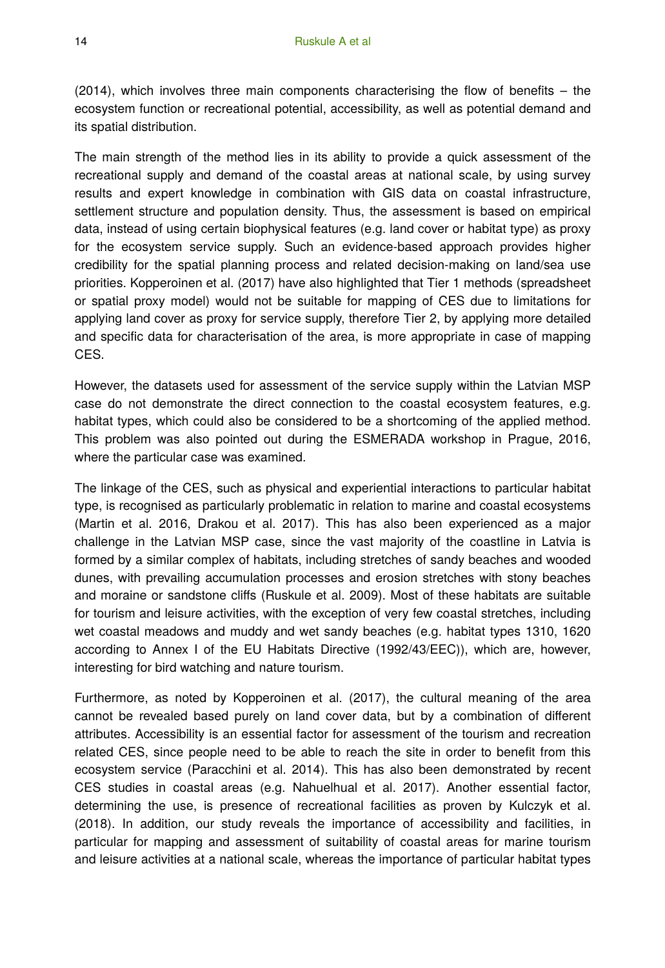(2014), which involves three main components characterising the flow of benefits – the ecosystem function or recreational potential, accessibility, as well as potential demand and its spatial distribution.

The main strength of the method lies in its ability to provide a quick assessment of the recreational supply and demand of the coastal areas at national scale, by using survey results and expert knowledge in combination with GIS data on coastal infrastructure, settlement structure and population density. Thus, the assessment is based on empirical data, instead of using certain biophysical features (e.g. land cover or habitat type) as proxy for the ecosystem service supply. Such an evidence-based approach provides higher credibility for the spatial planning process and related decision-making on land/sea use priorities. Kopperoinen et al. (2017) have also highlighted that Tier 1 methods (spreadsheet or spatial proxy model) would not be suitable for mapping of CES due to limitations for applying land cover as proxy for service supply, therefore Tier 2, by applying more detailed and specific data for characterisation of the area, is more appropriate in case of mapping CES.

However, the datasets used for assessment of the service supply within the Latvian MSP case do not demonstrate the direct connection to the coastal ecosystem features, e.g. habitat types, which could also be considered to be a shortcoming of the applied method. This problem was also pointed out during the ESMERADA workshop in Prague, 2016, where the particular case was examined.

The linkage of the CES, such as physical and experiential interactions to particular habitat type, is recognised as particularly problematic in relation to marine and coastal ecosystems (Martin et al. 2016, Drakou et al. 2017). This has also been experienced as a major challenge in the Latvian MSP case, since the vast majority of the coastline in Latvia is formed by a similar complex of habitats, including stretches of sandy beaches and wooded dunes, with prevailing accumulation processes and erosion stretches with stony beaches and moraine or sandstone cliffs (Ruskule et al. 2009). Most of these habitats are suitable for tourism and leisure activities, with the exception of very few coastal stretches, including wet coastal meadows and muddy and wet sandy beaches (e.g. habitat types 1310, 1620 according to Annex I of the EU Habitats Directive (1992/43/EEC)), which are, however, interesting for bird watching and nature tourism.

Furthermore, as noted by Kopperoinen et al. (2017), the cultural meaning of the area cannot be revealed based purely on land cover data, but by a combination of different attributes. Accessibility is an essential factor for assessment of the tourism and recreation related CES, since people need to be able to reach the site in order to benefit from this ecosystem service (Paracchini et al. 2014). This has also been demonstrated by recent CES studies in coastal areas (e.g. Nahuelhual et al. 2017). Another essential factor, determining the use, is presence of recreational facilities as proven by Kulczyk et al. (2018). In addition, our study reveals the importance of accessibility and facilities, in particular for mapping and assessment of suitability of coastal areas for marine tourism and leisure activities at a national scale, whereas the importance of particular habitat types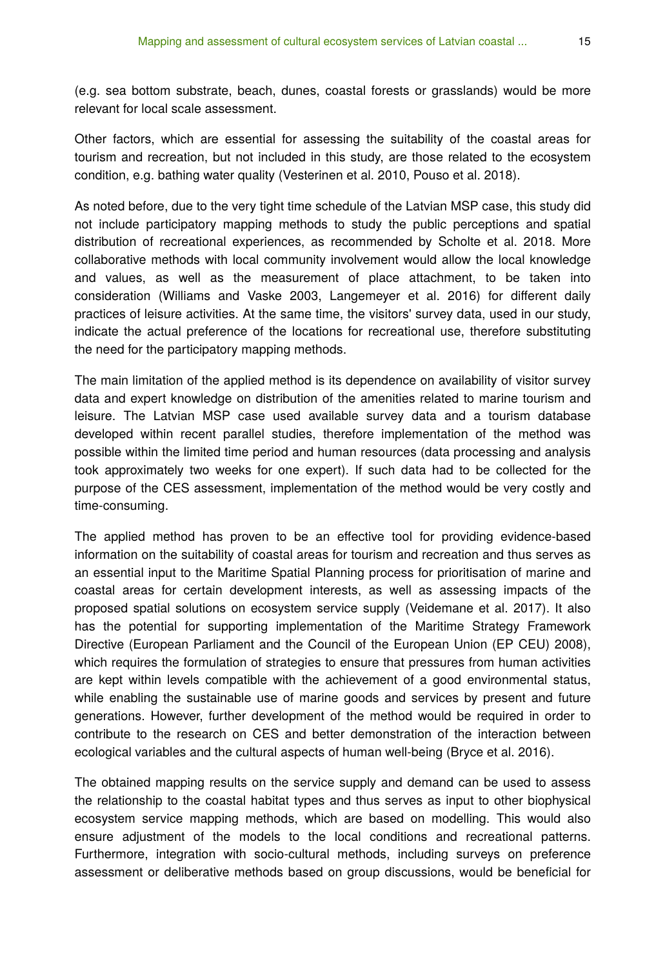(e.g. sea bottom substrate, beach, dunes, coastal forests or grasslands) would be more relevant for local scale assessment.

Other factors, which are essential for assessing the suitability of the coastal areas for tourism and recreation, but not included in this study, are those related to the ecosystem condition, e.g. bathing water quality (Vesterinen et al. 2010, Pouso et al. 2018).

As noted before, due to the very tight time schedule of the Latvian MSP case, this study did not include participatory mapping methods to study the public perceptions and spatial distribution of recreational experiences, as recommended by Scholte et al. 2018. More collaborative methods with local community involvement would allow the local knowledge and values, as well as the measurement of place attachment, to be taken into consideration (Williams and Vaske 2003, Langemeyer et al. 2016) for different daily practices of leisure activities. At the same time, the visitors' survey data, used in our study, indicate the actual preference of the locations for recreational use, therefore substituting the need for the participatory mapping methods.

The main limitation of the applied method is its dependence on availability of visitor survey data and expert knowledge on distribution of the amenities related to marine tourism and leisure. The Latvian MSP case used available survey data and a tourism database developed within recent parallel studies, therefore implementation of the method was possible within the limited time period and human resources (data processing and analysis took approximately two weeks for one expert). If such data had to be collected for the purpose of the CES assessment, implementation of the method would be very costly and time-consuming.

The applied method has proven to be an effective tool for providing evidence-based information on the suitability of coastal areas for tourism and recreation and thus serves as an essential input to the Maritime Spatial Planning process for prioritisation of marine and coastal areas for certain development interests, as well as assessing impacts of the proposed spatial solutions on ecosystem service supply (Veidemane et al. 2017). It also has the potential for supporting implementation of the Maritime Strategy Framework Directive (European Parliament and the Council of the European Union (EP CEU) 2008), which requires the formulation of strategies to ensure that pressures from human activities are kept within levels compatible with the achievement of a good environmental status, while enabling the sustainable use of marine goods and services by present and future generations. However, further development of the method would be required in order to contribute to the research on CES and better demonstration of the interaction between ecological variables and the cultural aspects of human well-being (Bryce et al. 2016).

The obtained mapping results on the service supply and demand can be used to assess the relationship to the coastal habitat types and thus serves as input to other biophysical ecosystem service mapping methods, which are based on modelling. This would also ensure adjustment of the models to the local conditions and recreational patterns. Furthermore, integration with socio-cultural methods, including surveys on preference assessment or deliberative methods based on group discussions, would be beneficial for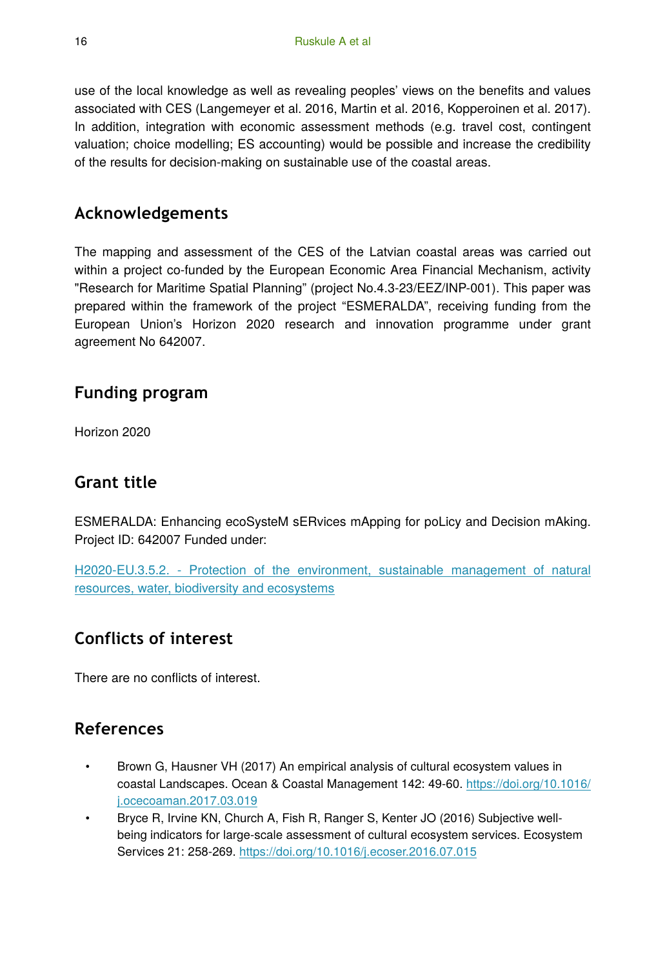use of the local knowledge as well as revealing peoples' views on the benefits and values associated with CES (Langemeyer et al. 2016, Martin et al. 2016, Kopperoinen et al. 2017). In addition, integration with economic assessment methods (e.g. travel cost, contingent valuation; choice modelling; ES accounting) would be possible and increase the credibility of the results for decision-making on sustainable use of the coastal areas.

# **Acknowledgements**

The mapping and assessment of the CES of the Latvian coastal areas was carried out within a project co-funded by the European Economic Area Financial Mechanism, activity "Research for Maritime Spatial Planning" (project No.4.3-23/EEZ/INP-001). This paper was prepared within the framework of the project "ESMERALDA", receiving funding from the European Union's Horizon 2020 research and innovation programme under grant agreement No 642007.

## **Funding program**

Horizon 2020

# **Grant title**

ESMERALDA: Enhancing ecoSysteM sERvices mApping for poLicy and Decision mAking. Project ID: 642007 Funded under:

[H2020-EU.3.5.2. - Protection of the environment, sustainable management of natural](https://cordis.europa.eu/programme/rcn/664399_en.html) [resources, water, biodiversity and ecosystems](https://cordis.europa.eu/programme/rcn/664399_en.html)

# **Conflicts of interest**

There are no conflicts of interest.

# **References**

- Brown G, Hausner VH (2017) An empirical analysis of cultural ecosystem values in coastal Landscapes. Ocean & Coastal Management 142: 49‑60. [https://doi.org/10.1016/](https://doi.org/10.1016/j.ocecoaman.2017.03.019) [j.ocecoaman.2017.03.019](https://doi.org/10.1016/j.ocecoaman.2017.03.019)
- Bryce R, Irvine KN, Church A, Fish R, Ranger S, Kenter JO (2016) Subjective wellbeing indicators for large-scale assessment of cultural ecosystem services. Ecosystem Services 21: 258‑269.<https://doi.org/10.1016/j.ecoser.2016.07.015>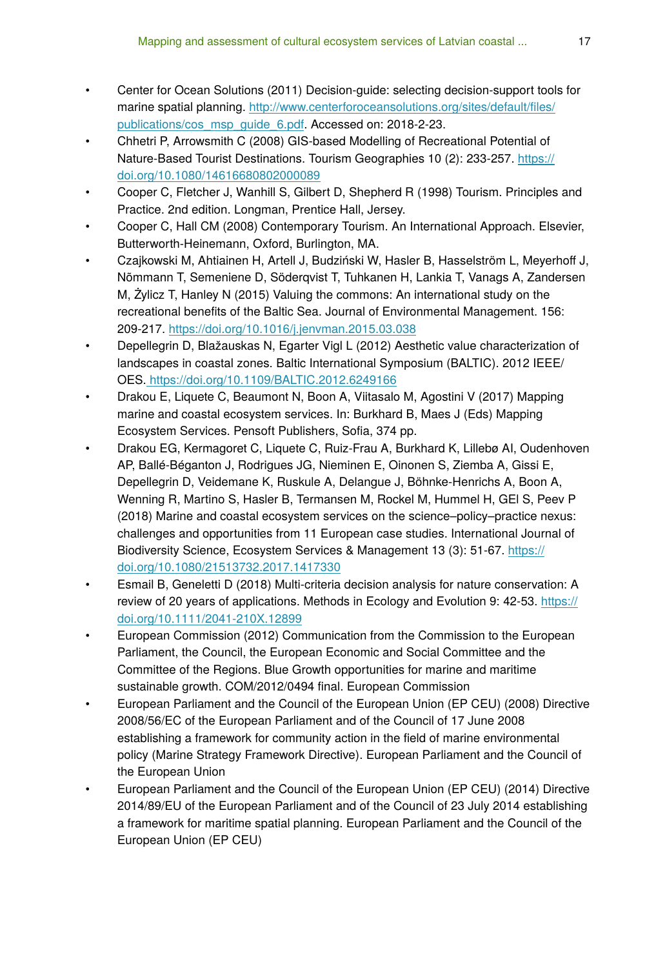- Center for Ocean Solutions (2011) Decision-guide: selecting decision-support tools for marine spatial planning. [http://www.centerforoceansolutions.org/sites/default/](http://www.centerforoceansolutions.org/sites/default/files/publications/cos_msp_guide_6.pdf)files/ [publications/cos\\_msp\\_guide\\_6.pdf.](http://www.centerforoceansolutions.org/sites/default/files/publications/cos_msp_guide_6.pdf) Accessed on: 2018-2-23.
- Chhetri P, Arrowsmith C (2008) GIS-based Modelling of Recreational Potential of Nature-Based Tourist Destinations. Tourism Geographies 10 (2): 233‑257. [https://](https://doi.org/10.1080/14616680802000089) [doi.org/10.1080/14616680802000089](https://doi.org/10.1080/14616680802000089)
- Cooper C, Fletcher J, Wanhill S, Gilbert D, Shepherd R (1998) Tourism. Principles and Practice. 2nd edition. Longman, Prentice Hall, Jersey.
- Cooper C, Hall CM (2008) Contemporary Tourism. An International Approach. Elsevier, Butterworth-Heinemann, Oxford, Burlington, MA.
- Czajkowski M, Ahtiainen H, Artell J, Budziński W, Hasler B, Hasselström L, Meyerhoff J, Nõmmann T, Semeniene D, Söderqvist T, Tuhkanen H, Lankia T, Vanags A, Zandersen M, Żylicz T, Hanley N (2015) Valuing the commons: An international study on the recreational benefits of the Baltic Sea. Journal of Environmental Management. 156: 209‑217. <https://doi.org/10.1016/j.jenvman.2015.03.038>
- Depellegrin D, Blažauskas N, Egarter Vigl L (2012) Aesthetic value characterization of landscapes in coastal zones. Baltic International Symposium (BALTIC). 2012 IEEE/ OES.<https://doi.org/10.1109/BALTIC.2012.6249166>
- Drakou E, Liquete C, Beaumont N, Boon A, Viitasalo M, Agostini V (2017) Mapping marine and coastal ecosystem services. In: Burkhard B, Maes J (Eds) Mapping Ecosystem Services. Pensoft Publishers, Sofia, 374 pp.
- Drakou EG, Kermagoret C, Liquete C, Ruiz-Frau A, Burkhard K, Lillebø AI, Oudenhoven AP, Ballé-Béganton J, Rodrigues JG, Nieminen E, Oinonen S, Ziemba A, Gissi E, Depellegrin D, Veidemane K, Ruskule A, Delangue J, Böhnke-Henrichs A, Boon A, Wenning R, Martino S, Hasler B, Termansen M, Rockel M, Hummel H, GEl S, Peev P (2018) Marine and coastal ecosystem services on the science–policy–practice nexus: challenges and opportunities from 11 European case studies. International Journal of Biodiversity Science, Ecosystem Services & Management 13 (3): 51‑67. [https://](https://doi.org/10.1080/21513732.2017.1417330) [doi.org/10.1080/21513732.2017.1417330](https://doi.org/10.1080/21513732.2017.1417330)
- Esmail B, Geneletti D (2018) Multi-criteria decision analysis for nature conservation: A review of 20 years of applications. Methods in Ecology and Evolution 9: 42‑53. [https://](https://doi.org/10.1111/2041-210X.12899) [doi.org/10.1111/2041-210X.12899](https://doi.org/10.1111/2041-210X.12899)
- European Commission (2012) Communication from the Commission to the European Parliament, the Council, the European Economic and Social Committee and the Committee of the Regions. Blue Growth opportunities for marine and maritime sustainable growth. COM/2012/0494 final. European Commission
- European Parliament and the Council of the European Union (EP CEU) (2008) Directive 2008/56/EC of the European Parliament and of the Council of 17 June 2008 establishing a framework for community action in the field of marine environmental policy (Marine Strategy Framework Directive). European Parliament and the Council of the European Union
- European Parliament and the Council of the European Union (EP CEU) (2014) Directive 2014/89/EU of the European Parliament and of the Council of 23 July 2014 establishing a framework for maritime spatial planning. European Parliament and the Council of the European Union (EP CEU)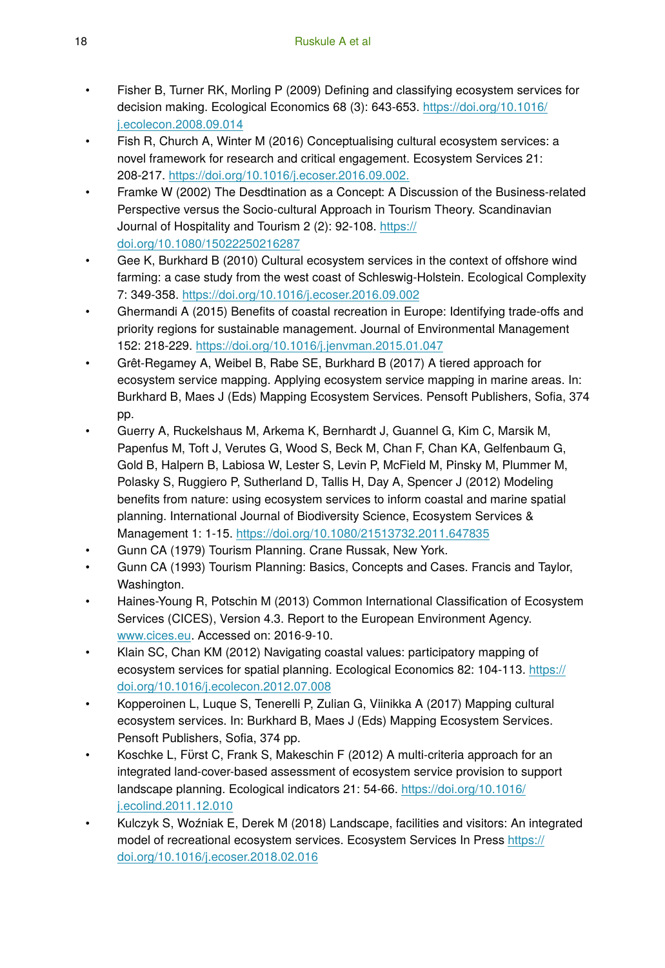- Fisher B, Turner RK, Morling P (2009) Defining and classifying ecosystem services for decision making. Ecological Economics 68 (3): 643‑653. [https://doi.org/10.1016/](https://doi.org/10.1016/j.ecolecon.2008.09.014) [j.ecolecon.2008.09.014](https://doi.org/10.1016/j.ecolecon.2008.09.014)
- Fish R, Church A, Winter M (2016) Conceptualising cultural ecosystem services: a novel framework for research and critical engagement. Ecosystem Services 21: 208‑217. <https://doi.org/10.1016/j.ecoser.2016.09.002.>
- Framke W (2002) The Desdtination as a Concept: A Discussion of the Business-related Perspective versus the Socio-cultural Approach in Tourism Theory. Scandinavian Journal of Hospitality and Tourism 2 (2): 92-108. [https://](https://doi.org/10.1080/15022250216287) [doi.org/10.1080/15022250216287](https://doi.org/10.1080/15022250216287)
- Gee K, Burkhard B (2010) Cultural ecosystem services in the context of offshore wind farming: a case study from the west coast of Schleswig-Holstein. Ecological Complexity 7: 349‑358.<https://doi.org/10.1016/j.ecoser.2016.09.002>
- Ghermandi A (2015) Benefits of coastal recreation in Europe: Identifying trade-offs and priority regions for sustainable management. Journal of Environmental Management 152: 218‑229. <https://doi.org/10.1016/j.jenvman.2015.01.047>
- Grêt-Regamey A, Weibel B, Rabe SE, Burkhard B (2017) A tiered approach for ecosystem service mapping. Applying ecosystem service mapping in marine areas. In: Burkhard B, Maes J (Eds) Mapping Ecosystem Services. Pensoft Publishers, Sofia, 374 pp.
- Guerry A, Ruckelshaus M, Arkema K, Bernhardt J, Guannel G, Kim C, Marsik M, Papenfus M, Toft J, Verutes G, Wood S, Beck M, Chan F, Chan KA, Gelfenbaum G, Gold B, Halpern B, Labiosa W, Lester S, Levin P, McField M, Pinsky M, Plummer M, Polasky S, Ruggiero P, Sutherland D, Tallis H, Day A, Spencer J (2012) Modeling benefits from nature: using ecosystem services to inform coastal and marine spatial planning. International Journal of Biodiversity Science, Ecosystem Services & Management 1: 1‑15.<https://doi.org/10.1080/21513732.2011.647835>
- Gunn CA (1979) Tourism Planning. Crane Russak, New York.
- Gunn CA (1993) Tourism Planning: Basics, Concepts and Cases. Francis and Taylor, Washington.
- Haines-Young R, Potschin M (2013) Common International Classification of Ecosystem Services (CICES), Version 4.3. Report to the European Environment Agency. [www.cices.eu](http://www.cices.eu). Accessed on: 2016-9-10.
- Klain SC, Chan KM (2012) Navigating coastal values: participatory mapping of ecosystem services for spatial planning. Ecological Economics 82: 104-113. [https://](https://doi.org/10.1016/j.ecolecon.2012.07.008) [doi.org/10.1016/j.ecolecon.2012.07.008](https://doi.org/10.1016/j.ecolecon.2012.07.008)
- Kopperoinen L, Luque S, Tenerelli P, Zulian G, Viinikka A (2017) Mapping cultural ecosystem services. In: Burkhard B, Maes J (Eds) Mapping Ecosystem Services. Pensoft Publishers, Sofia, 374 pp.
- Koschke L, Fϋrst C, Frank S, Makeschin F (2012) A multi-criteria approach for an integrated land-cover-based assessment of ecosystem service provision to support landscape planning. Ecological indicators 21: 54‑66. [https://doi.org/10.1016/](https://doi.org/10.1016/j.ecolind.2011.12.010) [j.ecolind.2011.12.010](https://doi.org/10.1016/j.ecolind.2011.12.010)
- Kulczyk S, Woźniak E, Derek M (2018) Landscape, facilities and visitors: An integrated model of recreational ecosystem services. Ecosystem Services In Press [https://](https://doi.org/10.1016/j.ecoser.2018.02.016) [doi.org/10.1016/j.ecoser.2018.02.016](https://doi.org/10.1016/j.ecoser.2018.02.016)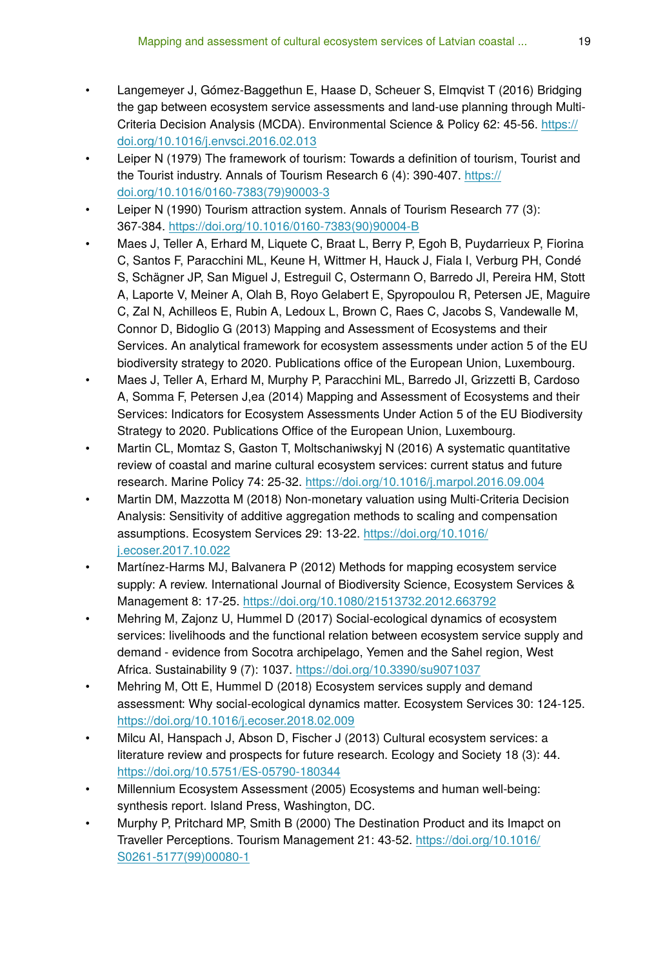- Langemeyer J, Gómez-Baggethun E, Haase D, Scheuer S, Elmqvist T (2016) Bridging the gap between ecosystem service assessments and land-use planning through MultiCriteria Decision Analysis (MCDA). Environmental Science & Policy 62: 45-56. [https://](https://doi.org/10.1016/j.envsci.2016.02.013) [doi.org/10.1016/j.envsci.2016.02.013](https://doi.org/10.1016/j.envsci.2016.02.013)
- Leiper N (1979) The framework of tourism: Towards a definition of tourism, Tourist and the Tourist industry. Annals of Tourism Research 6 (4): 390-407. [https://](https://doi.org/10.1016/0160-7383(79)90003-3) [doi.org/10.1016/0160-7383\(79\)90003-3](https://doi.org/10.1016/0160-7383(79)90003-3)
- Leiper N (1990) Tourism attraction system. Annals of Tourism Research 77 (3): 367‑384. [https://doi.org/10.1016/0160-7383\(90\)90004-B](https://doi.org/10.1016/0160-7383(90)90004-B)
- Maes J, Teller A, Erhard M, Liquete C, Braat L, Berry P, Egoh B, Puydarrieux P, Fiorina C, Santos F, Paracchini ML, Keune H, Wittmer H, Hauck J, Fiala I, Verburg PH, Condé S, Schägner JP, San Miguel J, Estreguil C, Ostermann O, Barredo JI, Pereira HM, Stott A, Laporte V, Meiner A, Olah B, Royo Gelabert E, Spyropoulou R, Petersen JE, Maguire C, Zal N, Achilleos E, Rubin A, Ledoux L, Brown C, Raes C, Jacobs S, Vandewalle M, Connor D, Bidoglio G (2013) Mapping and Assessment of Ecosystems and their Services. An analytical framework for ecosystem assessments under action 5 of the EU biodiversity strategy to 2020. Publications office of the European Union, Luxembourg.
- Maes J, Teller A, Erhard M, Murphy P, Paracchini ML, Barredo JI, Grizzetti B, Cardoso A, Somma F, Petersen J,ea (2014) Mapping and Assessment of Ecosystems and their Services: Indicators for Ecosystem Assessments Under Action 5 of the EU Biodiversity Strategy to 2020. Publications Office of the European Union, Luxembourg.
- Martin CL, Momtaz S, Gaston T, Moltschaniwskyj N (2016) A systematic quantitative review of coastal and marine cultural ecosystem services: current status and future research. Marine Policy 74: 25‑32. <https://doi.org/10.1016/j.marpol.2016.09.004>
- Martin DM, Mazzotta M (2018) Non-monetary valuation using Multi-Criteria Decision Analysis: Sensitivity of additive aggregation methods to scaling and compensation assumptions. Ecosystem Services 29: 13‑22. [https://doi.org/10.1016/](https://doi.org/10.1016/j.ecoser.2017.10.022) [j.ecoser.2017.10.022](https://doi.org/10.1016/j.ecoser.2017.10.022)
- Martínez-Harms MJ, Balvanera P (2012) Methods for mapping ecosystem service supply: A review. International Journal of Biodiversity Science, Ecosystem Services & Management 8: 17‑25. <https://doi.org/10.1080/21513732.2012.663792>
- Mehring M, Zajonz U, Hummel D (2017) Social-ecological dynamics of ecosystem services: livelihoods and the functional relation between ecosystem service supply and demand - evidence from Socotra archipelago, Yemen and the Sahel region, West Africa. Sustainability 9 (7): 1037. <https://doi.org/10.3390/su9071037>
- Mehring M, Ott E, Hummel D (2018) Ecosystem services supply and demand assessment: Why social-ecological dynamics matter. Ecosystem Services 30: 124‑125. <https://doi.org/10.1016/j.ecoser.2018.02.009>
- Milcu AI, Hanspach J, Abson D, Fischer J (2013) Cultural ecosystem services: a literature review and prospects for future research. Ecology and Society 18 (3): 44. <https://doi.org/10.5751/ES-05790-180344>
- Millennium Ecosystem Assessment (2005) Ecosystems and human well-being: synthesis report. Island Press, Washington, DC.
- Murphy P, Pritchard MP, Smith B (2000) The Destination Product and its Imapct on Traveller Perceptions. Tourism Management 21: 43‑52. [https://doi.org/10.1016/](https://doi.org/10.1016/S0261-5177(99)00080-1) [S0261-5177\(99\)00080-1](https://doi.org/10.1016/S0261-5177(99)00080-1)